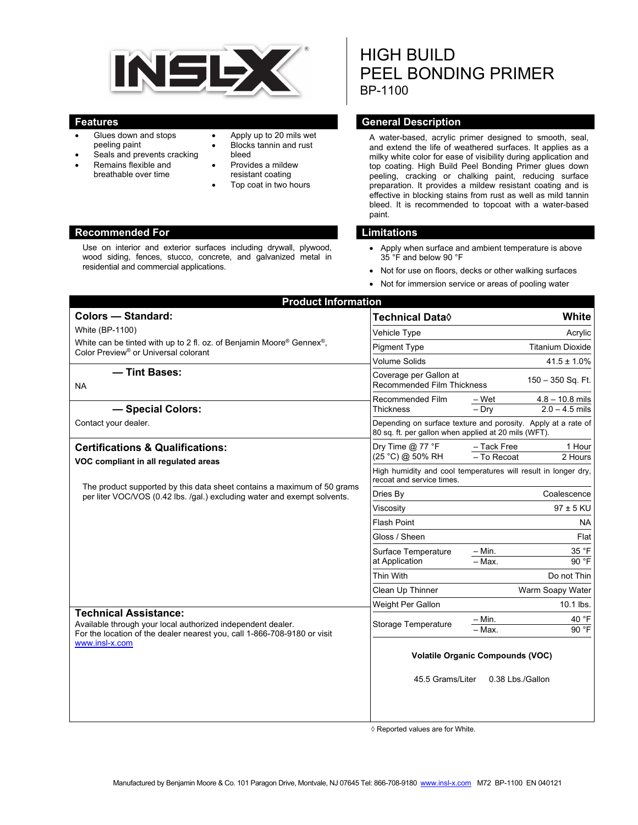

- Glues down and stops peeling paint
- Seals and prevents cracking
- Remains flexible and breathable over time
- Apply up to 20 mils wet
- Blocks tannin and rust bleed
- Provides a mildew resistant coating
- Top coat in two hours

### **Recommended For Limitations and Limitations**

Use on interior and exterior surfaces including drywall, plywood, wood siding, fences, stucco, concrete, and galvanized metal in residential and commercial applications.

# HIGH BUILD PEEL BONDING PRIMER BP-1100

# **Features General Description Contract Description**

A water-based, acrylic primer designed to smooth, seal, and extend the life of weathered surfaces. It applies as a milky white color for ease of visibility during application and top coating. High Build Peel Bonding Primer glues down peeling, cracking or chalking paint, reducing surface preparation. It provides a mildew resistant coating and is effective in blocking stains from rust as well as mild tannin bleed. It is recommended to topcoat with a water-based paint.

- Apply when surface and ambient temperature is above 35 °F and below 90 °F
- Not for use on floors, decks or other walking surfaces
- Not for immersion service or areas of pooling water

| <b>Product Information</b>                                                                                                                                                                |                                                                                                                       |                                                |
|-------------------------------------------------------------------------------------------------------------------------------------------------------------------------------------------|-----------------------------------------------------------------------------------------------------------------------|------------------------------------------------|
| <b>Colors - Standard:</b>                                                                                                                                                                 | <b>Technical Data</b> ◊                                                                                               | White                                          |
| <b>White (BP-1100)</b><br>White can be tinted with up to 2 fl. oz. of Benjamin Moore® Gennex®,<br>Color Preview <sup>®</sup> or Universal colorant                                        | Vehicle Type                                                                                                          | Acrylic                                        |
|                                                                                                                                                                                           | <b>Pigment Type</b>                                                                                                   | <b>Titanium Dioxide</b>                        |
|                                                                                                                                                                                           | <b>Volume Solids</b>                                                                                                  | $41.5 \pm 1.0\%$                               |
| - Tint Bases:<br><b>NA</b>                                                                                                                                                                | Coverage per Gallon at<br>150 - 350 Sq. Ft.<br><b>Recommended Film Thickness</b>                                      |                                                |
|                                                                                                                                                                                           | Recommended Film                                                                                                      | – Wet<br>$4.8 - 10.8$ mils<br>$2.0 - 4.5$ mils |
| - Special Colors:                                                                                                                                                                         | Thickness                                                                                                             | $-$ Dry                                        |
| Contact your dealer.                                                                                                                                                                      | Depending on surface texture and porosity. Apply at a rate of<br>80 sq. ft. per gallon when applied at 20 mils (WFT). |                                                |
| <b>Certifications &amp; Qualifications:</b>                                                                                                                                               | Dry Time $@$ 77 °F                                                                                                    | - Tack Free<br>1 Hour                          |
| VOC compliant in all regulated areas                                                                                                                                                      | (25 °C) @ 50% RH                                                                                                      | $-$ To Recoat<br>2 Hours                       |
| The product supported by this data sheet contains a maximum of 50 grams<br>per liter VOC/VOS (0.42 lbs. /qal.) excluding water and exempt solvents.                                       | High humidity and cool temperatures will result in longer dry,<br>recoat and service times.                           |                                                |
|                                                                                                                                                                                           | Dries By                                                                                                              | Coalescence                                    |
|                                                                                                                                                                                           | Viscosity                                                                                                             | $97 \pm 5$ KU                                  |
|                                                                                                                                                                                           | <b>Flash Point</b>                                                                                                    | <b>NA</b>                                      |
|                                                                                                                                                                                           | Gloss / Sheen                                                                                                         | Flat                                           |
|                                                                                                                                                                                           | Surface Temperature<br>at Application                                                                                 | $-$ Min.<br>35 °F                              |
|                                                                                                                                                                                           |                                                                                                                       | 90°F<br>- Max.                                 |
|                                                                                                                                                                                           | Thin With                                                                                                             | Do not Thin                                    |
|                                                                                                                                                                                           | Clean Up Thinner                                                                                                      | Warm Soapy Water                               |
|                                                                                                                                                                                           | Weight Per Gallon                                                                                                     | 10.1 lbs.                                      |
| <b>Technical Assistance:</b><br>Available through your local authorized independent dealer.<br>For the location of the dealer nearest you, call 1-866-708-9180 or visit<br>www.insl-x.com | <b>Storage Temperature</b>                                                                                            | - Min.<br>40 °F<br>90 °F<br>- Max.             |
|                                                                                                                                                                                           | <b>Volatile Organic Compounds (VOC)</b><br>45.5 Grams/Liter<br>0.38 Lbs / Gallon                                      |                                                |
|                                                                                                                                                                                           |                                                                                                                       |                                                |

◊ Reported values are for White.